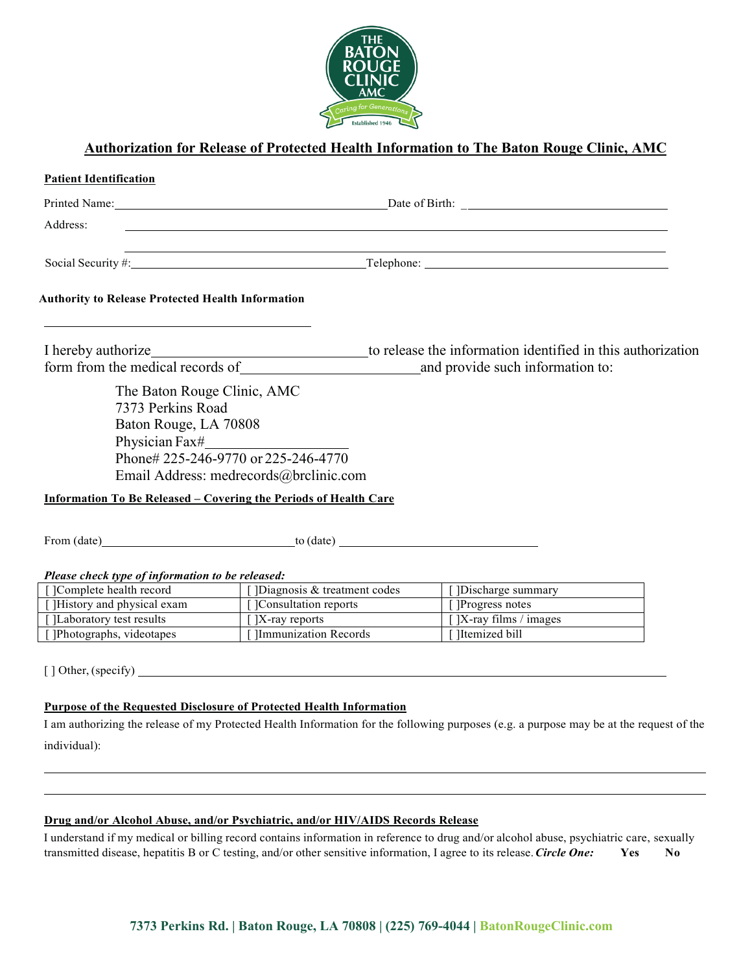

# **Authorization for Release of Protected Health Information to The Baton Rouge Clinic, AMC**

| <b>Patient Identification</b>                                                                                                                                                                                                                                                                                     |                                                                               |                                                                                                                                         |
|-------------------------------------------------------------------------------------------------------------------------------------------------------------------------------------------------------------------------------------------------------------------------------------------------------------------|-------------------------------------------------------------------------------|-----------------------------------------------------------------------------------------------------------------------------------------|
|                                                                                                                                                                                                                                                                                                                   |                                                                               |                                                                                                                                         |
| Address:                                                                                                                                                                                                                                                                                                          |                                                                               |                                                                                                                                         |
| ,我们也不会有什么。""我们的人,我们也不会有什么?""我们的人,我们也不会有什么?""我们的人,我们也不会有什么?""我们的人,我们也不会有什么?""我们的人<br>Social Security #: Telephone: The Contract of the Contract of the Contract of the Contract of the Contract of the Contract of the Contract of the Contract of the Contract of the Contract of the Contract of the Contract of |                                                                               |                                                                                                                                         |
| <b>Authority to Release Protected Health Information</b>                                                                                                                                                                                                                                                          |                                                                               |                                                                                                                                         |
| I hereby authorize                                                                                                                                                                                                                                                                                                |                                                                               | to release the information identified in this authorization                                                                             |
| form from the medical records of                                                                                                                                                                                                                                                                                  |                                                                               | and provide such information to:                                                                                                        |
| 7373 Perkins Road<br>Baton Rouge, LA 70808<br>Physician Fax#<br><b>Information To Be Released - Covering the Periods of Health Care</b><br>From (date) to (date)                                                                                                                                                  | Phone# 225-246-9770 or 225-246-4770<br>Email Address: medrecords@brclinic.com |                                                                                                                                         |
| Please check type of information to be released:                                                                                                                                                                                                                                                                  |                                                                               |                                                                                                                                         |
| []Complete health record                                                                                                                                                                                                                                                                                          | [] Diagnosis & treatment codes                                                | [ ]Discharge summary                                                                                                                    |
| [ ]History and physical exam                                                                                                                                                                                                                                                                                      | [ ]Consultation reports                                                       | []Progress notes                                                                                                                        |
| [ ]Laboratory test results                                                                                                                                                                                                                                                                                        | $\sqrt{X}$ -ray reports                                                       | []X-ray films / images                                                                                                                  |
| []Photographs, videotapes                                                                                                                                                                                                                                                                                         | [ ]Immunization Records                                                       | [ ]Itemized bill                                                                                                                        |
|                                                                                                                                                                                                                                                                                                                   |                                                                               |                                                                                                                                         |
| <b>Purpose of the Requested Disclosure of Protected Health Information</b>                                                                                                                                                                                                                                        |                                                                               |                                                                                                                                         |
|                                                                                                                                                                                                                                                                                                                   |                                                                               | I am authorizing the release of my Protected Health Information for the following purposes (e.g. a purpose may be at the request of the |
| individual):                                                                                                                                                                                                                                                                                                      |                                                                               |                                                                                                                                         |
|                                                                                                                                                                                                                                                                                                                   |                                                                               |                                                                                                                                         |
|                                                                                                                                                                                                                                                                                                                   |                                                                               |                                                                                                                                         |
|                                                                                                                                                                                                                                                                                                                   |                                                                               |                                                                                                                                         |

## **Drug and/or Alcohol Abuse, and/or Psychiatric, and/or HIV/AIDS Records Release**

I understand if my medical or billing record contains information in reference to drug and/or alcohol abuse, psychiatric care, sexually transmitted disease, hepatitis B or C testing, and/or other sensitive information, I agree to its release.*Circle One:* **Yes No**